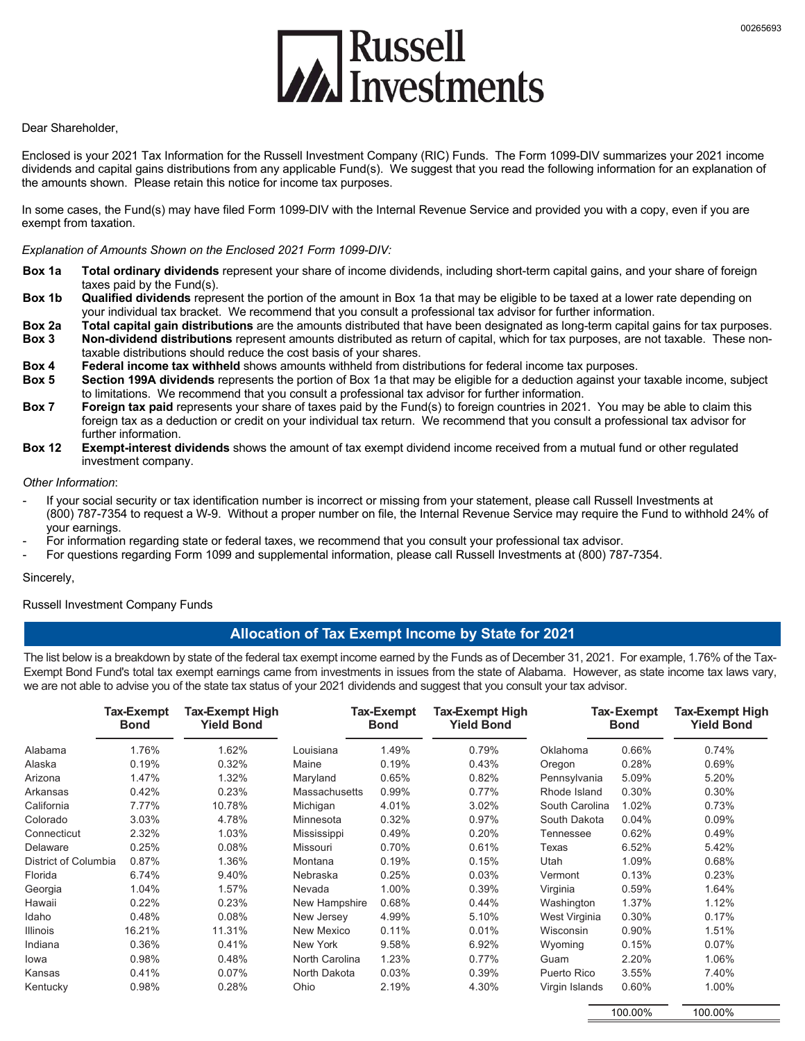

#### Dear Shareholder,

Enclosed is your 2021 Tax Information for the Russell Investment Company (RIC) Funds. The Form 1099-DIV summarizes your 2021 income dividends and capital gains distributions from any applicable Fund(s). We suggest that you read the following information for an explanation of the amounts shown. Please retain this notice for income tax purposes.

In some cases, the Fund(s) may have filed Form 1099-DIV with the Internal Revenue Service and provided you with a copy, even if you are exempt from taxation.

#### *Explanation of Amounts Shown on the Enclosed 2021 Form 1099-DIV:*

- **Box 1a Total ordinary dividends** represent your share of income dividends, including short-term capital gains, and your share of foreign taxes paid by the Fund(s).
- **Box 1b Qualified dividends** represent the portion of the amount in Box 1a that may be eligible to be taxed at a lower rate depending on your individual tax bracket. We recommend that you consult a professional tax advisor for further information.
- **Box 2a Total capital gain distributions** are the amounts distributed that have been designated as long-term capital gains for tax purposes. **Box 3 Non-dividend distributions** represent amounts distributed as return of capital, which for tax purposes, are not taxable. These nontaxable distributions should reduce the cost basis of your shares.
- **Box 4 Federal income tax withheld** shows amounts withheld from distributions for federal income tax purposes.
- **Box 5 Section 199A dividends** represents the portion of Box 1a that may be eligible for a deduction against your taxable income, subject to limitations. We recommend that you consult a professional tax advisor for further information.
- **Box 7 Foreign tax paid** represents your share of taxes paid by the Fund(s) to foreign countries in 2021. You may be able to claim this foreign tax as a deduction or credit on your individual tax return. We recommend that you consult a professional tax advisor for further information.
- **Box 12 Exempt-interest dividends** shows the amount of tax exempt dividend income received from a mutual fund or other regulated investment company.

#### *Other Information*:

- If your social security or tax identification number is incorrect or missing from your statement, please call Russell Investments at (800) 787-7354 to request a W-9. Without a proper number on file, the Internal Revenue Service may require the Fund to withhold 24% of your earnings.
- For information regarding state or federal taxes, we recommend that you consult your professional tax advisor.
- For questions regarding Form 1099 and supplemental information, please call Russell Investments at (800) 787-7354.

# - Sincerely,

#### Russell Investment Company Funds

#### **Allocation of Tax Exempt Income by State for 2021**

The list below is a breakdown by state of the federal tax exempt income earned by the Funds as of December 31, 2021. For example, 1.76% of the Tax-Exempt Bond Fund's total tax exempt earnings came from investments in issues from the state of Alabama. However, as state income tax laws vary, we are not able to advise you of the state tax status of your 2021 dividends and suggest that you consult your tax advisor.

|                      | Tax-Exempt<br><b>Bond</b> | <b>Tax-Exempt High</b><br><b>Yield Bond</b> |                      | Tax-Exempt<br><b>Bond</b> | Tax-Exempt High<br><b>Yield Bond</b> |                | Tax-Exempt<br><b>Bond</b> | Tax-Exempt High<br><b>Yield Bond</b> |
|----------------------|---------------------------|---------------------------------------------|----------------------|---------------------------|--------------------------------------|----------------|---------------------------|--------------------------------------|
| Alabama              | 1.76%                     | 1.62%                                       | Louisiana            | 1.49%                     | 0.79%                                | Oklahoma       | 0.66%                     | 0.74%                                |
| Alaska               | 0.19%                     | 0.32%                                       | Maine                | 0.19%                     | 0.43%                                | Oregon         | 0.28%                     | 0.69%                                |
| Arizona              | 1.47%                     | 1.32%                                       | Maryland             | 0.65%                     | 0.82%                                | Pennsylvania   | 5.09%                     | 5.20%                                |
| Arkansas             | 0.42%                     | 0.23%                                       | <b>Massachusetts</b> | 0.99%                     | 0.77%                                | Rhode Island   | 0.30%                     | 0.30%                                |
| California           | 7.77%                     | 10.78%                                      | Michigan             | 4.01%                     | 3.02%                                | South Carolina | 1.02%                     | 0.73%                                |
| Colorado             | 3.03%                     | 4.78%                                       | Minnesota            | 0.32%                     | 0.97%                                | South Dakota   | 0.04%                     | 0.09%                                |
| Connecticut          | 2.32%                     | 1.03%                                       | Mississippi          | 0.49%                     | 0.20%                                | Tennessee      | 0.62%                     | 0.49%                                |
| Delaware             | 0.25%                     | 0.08%                                       | Missouri             | 0.70%                     | 0.61%                                | Texas          | 6.52%                     | 5.42%                                |
| District of Columbia | 0.87%                     | 1.36%                                       | Montana              | 0.19%                     | 0.15%                                | Utah           | 1.09%                     | 0.68%                                |
| Florida              | 6.74%                     | 9.40%                                       | Nebraska             | 0.25%                     | 0.03%                                | Vermont        | 0.13%                     | 0.23%                                |
| Georgia              | 1.04%                     | 1.57%                                       | Nevada               | 1.00%                     | 0.39%                                | Virginia       | 0.59%                     | 1.64%                                |
| Hawaii               | 0.22%                     | 0.23%                                       | New Hampshire        | 0.68%                     | 0.44%                                | Washington     | 1.37%                     | 1.12%                                |
| Idaho                | 0.48%                     | 0.08%                                       | New Jersey           | 4.99%                     | 5.10%                                | West Virginia  | 0.30%                     | 0.17%                                |
| <b>Illinois</b>      | 16.21%                    | 11.31%                                      | New Mexico           | 0.11%                     | 0.01%                                | Wisconsin      | 0.90%                     | 1.51%                                |
| Indiana              | 0.36%                     | 0.41%                                       | New York             | 9.58%                     | 6.92%                                | Wyoming        | 0.15%                     | 0.07%                                |
| lowa                 | 0.98%                     | 0.48%                                       | North Carolina       | 1.23%                     | $0.77\%$                             | Guam           | 2.20%                     | 1.06%                                |
| Kansas               | 0.41%                     | 0.07%                                       | North Dakota         | 0.03%                     | 0.39%                                | Puerto Rico    | 3.55%                     | 7.40%                                |
| Kentucky             | 0.98%                     | 0.28%                                       | Ohio                 | 2.19%                     | 4.30%                                | Virgin Islands | 0.60%                     | 1.00%                                |

100.00%

100.00%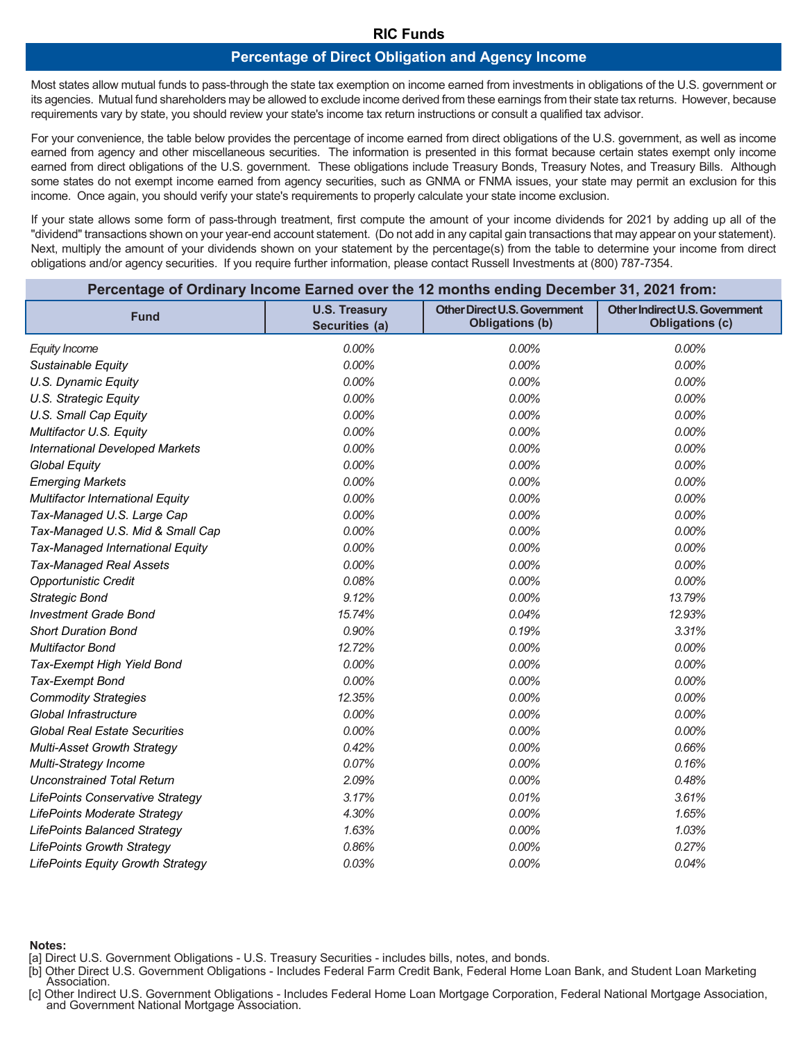### **RIC Funds**

### **Percentage of Direct Obligation and Agency Income**

Most states allow mutual funds to pass-through the state tax exemption on income earned from investments in obligations of the U.S. government or its agencies. Mutual fund shareholders may be allowed to exclude income derived from these earnings from their state tax returns. However, because requirements vary by state, you should review your state's income tax return instructions or consult a qualified tax advisor.

For your convenience, the table below provides the percentage of income earned from direct obligations of the U.S. government, as well as income earned from agency and other miscellaneous securities. The information is presented in this format because certain states exempt only income earned from direct obligations of the U.S. government. These obligations include Treasury Bonds, Treasury Notes, and Treasury Bills. Although some states do not exempt income earned from agency securities, such as GNMA or FNMA issues, your state may permit an exclusion for this income. Once again, you should verify your state's requirements to properly calculate your state income exclusion.

If your state allows some form of pass-through treatment, first compute the amount of your income dividends for 2021 by adding up all of the "dividend" transactions shown on your year-end account statement. (Do not add in any capital gain transactions that may appear on your statement). Next, multiply the amount of your dividends shown on your statement by the percentage(s) from the table to determine your income from direct obligations and/or agency securities. If you require further information, please contact Russell Investments at (800) 787-7354.

| Percentage of Ordinary Income Earned over the 12 months ending December 31, 2021 from: |                                        |                                                               |                                                          |  |  |
|----------------------------------------------------------------------------------------|----------------------------------------|---------------------------------------------------------------|----------------------------------------------------------|--|--|
| <b>Fund</b>                                                                            | <b>U.S. Treasury</b><br>Securities (a) | <b>Other Direct U.S. Government</b><br><b>Obligations (b)</b> | Other Indirect U.S. Government<br><b>Obligations (c)</b> |  |  |
| <b>Equity Income</b>                                                                   | 0.00%                                  | 0.00%                                                         | $0.00\%$                                                 |  |  |
| Sustainable Equity                                                                     | 0.00%                                  | 0.00%                                                         | 0.00%                                                    |  |  |
| U.S. Dynamic Equity                                                                    | 0.00%                                  | 0.00%                                                         | 0.00%                                                    |  |  |
| U.S. Strategic Equity                                                                  | 0.00%                                  | 0.00%                                                         | 0.00%                                                    |  |  |
| U.S. Small Cap Equity                                                                  | 0.00%                                  | 0.00%                                                         | 0.00%                                                    |  |  |
| Multifactor U.S. Equity                                                                | 0.00%                                  | 0.00%                                                         | 0.00%                                                    |  |  |
| <b>International Developed Markets</b>                                                 | 0.00%                                  | 0.00%                                                         | 0.00%                                                    |  |  |
| <b>Global Equity</b>                                                                   | 0.00%                                  | 0.00%                                                         | 0.00%                                                    |  |  |
| <b>Emerging Markets</b>                                                                | 0.00%                                  | 0.00%                                                         | 0.00%                                                    |  |  |
| <b>Multifactor International Equity</b>                                                | 0.00%                                  | 0.00%                                                         | 0.00%                                                    |  |  |
| Tax-Managed U.S. Large Cap                                                             | 0.00%                                  | 0.00%                                                         | 0.00%                                                    |  |  |
| Tax-Managed U.S. Mid & Small Cap                                                       | 0.00%                                  | 0.00%                                                         | 0.00%                                                    |  |  |
| Tax-Managed International Equity                                                       | 0.00%                                  | 0.00%                                                         | 0.00%                                                    |  |  |
| <b>Tax-Managed Real Assets</b>                                                         | 0.00%                                  | 0.00%                                                         | 0.00%                                                    |  |  |
| <b>Opportunistic Credit</b>                                                            | 0.08%                                  | 0.00%                                                         | 0.00%                                                    |  |  |
| <b>Strategic Bond</b>                                                                  | 9.12%                                  | 0.00%                                                         | 13.79%                                                   |  |  |
| <b>Investment Grade Bond</b>                                                           | 15.74%                                 | 0.04%                                                         | 12.93%                                                   |  |  |
| <b>Short Duration Bond</b>                                                             | 0.90%                                  | 0.19%                                                         | 3.31%                                                    |  |  |
| Multifactor Bond                                                                       | 12.72%                                 | 0.00%                                                         | 0.00%                                                    |  |  |
| Tax-Exempt High Yield Bond                                                             | 0.00%                                  | 0.00%                                                         | 0.00%                                                    |  |  |
| Tax-Exempt Bond                                                                        | 0.00%                                  | 0.00%                                                         | 0.00%                                                    |  |  |
| <b>Commodity Strategies</b>                                                            | 12.35%                                 | 0.00%                                                         | 0.00%                                                    |  |  |
| Global Infrastructure                                                                  | 0.00%                                  | 0.00%                                                         | 0.00%                                                    |  |  |
| <b>Global Real Estate Securities</b>                                                   | 0.00%                                  | 0.00%                                                         | 0.00%                                                    |  |  |
| Multi-Asset Growth Strategy                                                            | 0.42%                                  | 0.00%                                                         | 0.66%                                                    |  |  |
| Multi-Strategy Income                                                                  | 0.07%                                  | 0.00%                                                         | 0.16%                                                    |  |  |
| <b>Unconstrained Total Return</b>                                                      | 2.09%                                  | 0.00%                                                         | 0.48%                                                    |  |  |
| <b>LifePoints Conservative Strategy</b>                                                | 3.17%                                  | 0.01%                                                         | 3.61%                                                    |  |  |
| LifePoints Moderate Strategy                                                           | 4.30%                                  | 0.00%                                                         | 1.65%                                                    |  |  |
| <b>LifePoints Balanced Strategy</b>                                                    | 1.63%                                  | 0.00%                                                         | 1.03%                                                    |  |  |
| <b>LifePoints Growth Strategy</b>                                                      | 0.86%                                  | 0.00%                                                         | 0.27%                                                    |  |  |
| <b>LifePoints Equity Growth Strategy</b>                                               | 0.03%                                  | 0.00%                                                         | 0.04%                                                    |  |  |

**Notes:**

[a] Direct U.S. Government Obligations - U.S. Treasury Securities - includes bills, notes, and bonds.

[b] Other Direct U.S. Government Obligations - Includes Federal Farm Credit Bank, Federal Home Loan Bank, and Student Loan Marketing<br>Association.

[c] Other Indirect U.S. Government Obligations - Includes Federal Home Loan Mortgage Corporation, Federal National Mortgage Association, and Government National Mortgage Association,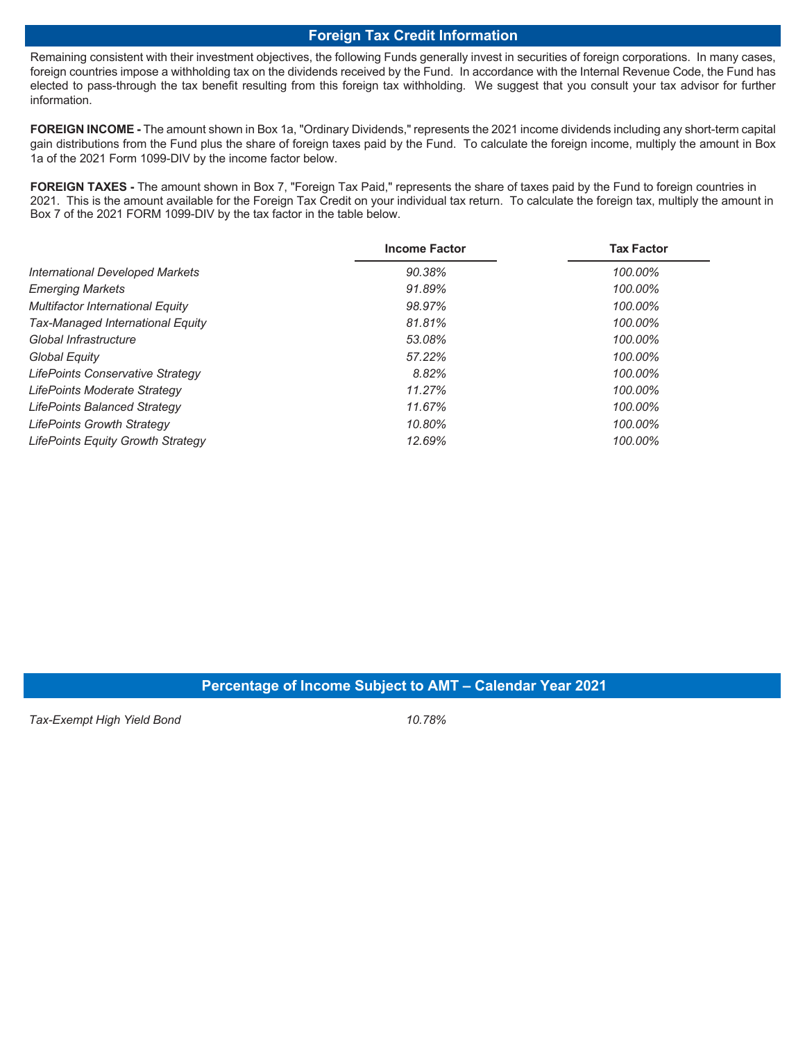### **Foreign Tax Credit Information**

Remaining consistent with their investment objectives, the following Funds generally invest in securities of foreign corporations. In many cases, foreign countries impose a withholding tax on the dividends received by the Fund. In accordance with the Internal Revenue Code, the Fund has elected to pass-through the tax benefit resulting from this foreign tax withholding. We suggest that you consult your tax advisor for further information.

**FOREIGN INCOME -** The amount shown in Box 1a, "Ordinary Dividends," represents the 2021 income dividends including any short-term capital gain distributions from the Fund plus the share of foreign taxes paid by the Fund. To calculate the foreign income, multiply the amount in Box 1a of the 2021 Form 1099-DIV by the income factor below.

**FOREIGN TAXES -** The amount shown in Box 7, "Foreign Tax Paid," represents the share of taxes paid by the Fund to foreign countries in 2021. This is the amount available for the Foreign Tax Credit on your individual tax return. To calculate the foreign tax, multiply the amount in Box 7 of the 2021 FORM 1099-DIV by the tax factor in the table below.

|                                          | <b>Income Factor</b> | <b>Tax Factor</b> |
|------------------------------------------|----------------------|-------------------|
| <b>International Developed Markets</b>   | 90.38%               | 100.00%           |
| <b>Emerging Markets</b>                  | 91.89%               | 100.00%           |
| Multifactor International Equity         | 98.97%               | 100.00%           |
| Tax-Managed International Equity         | 81.81%               | 100.00%           |
| Global Infrastructure                    | 53.08%               | 100.00%           |
| Global Equity                            | 57.22%               | 100.00%           |
| LifePoints Conservative Strategy         | 8.82%                | 100.00%           |
| LifePoints Moderate Strategy             | 11.27%               | 100.00%           |
| <b>LifePoints Balanced Strategy</b>      | 11.67%               | 100.00%           |
| LifePoints Growth Strategy               | 10.80%               | 100.00%           |
| <b>LifePoints Equity Growth Strategy</b> | 12.69%               | 100.00%           |

### **Percentage of Income Subject to AMT – Calendar Year 2021**

*Tax-Exempt High Yield Bond 10.78%*